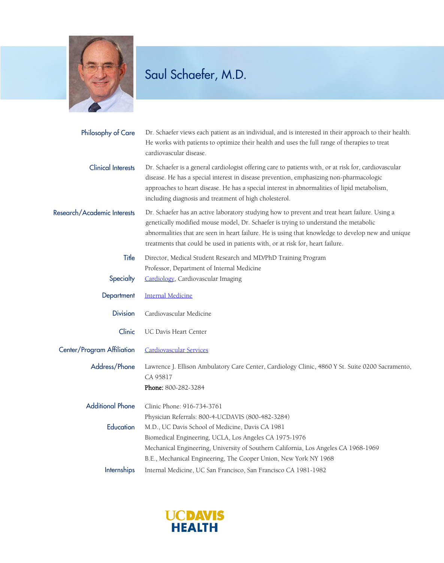

## Saul Schaefer, M.D.

| Philosophy of Care          | Dr. Schaefer views each patient as an individual, and is interested in their approach to their health.<br>He works with patients to optimize their health and uses the full range of therapies to treat<br>cardiovascular disease.                                                                                                                                             |
|-----------------------------|--------------------------------------------------------------------------------------------------------------------------------------------------------------------------------------------------------------------------------------------------------------------------------------------------------------------------------------------------------------------------------|
| <b>Clinical Interests</b>   | Dr. Schaefer is a general cardiologist offering care to patients with, or at risk for, cardiovascular<br>disease. He has a special interest in disease prevention, emphasizing non-pharmacologic<br>approaches to heart disease. He has a special interest in abnormalities of lipid metabolism,<br>including diagnosis and treatment of high cholesterol.                     |
| Research/Academic Interests | Dr. Schaefer has an active laboratory studying how to prevent and treat heart failure. Using a<br>genetically modified mouse model, Dr. Schaefer is trying to understand the metabolic<br>abnormalities that are seen in heart failure. He is using that knowledge to develop new and unique<br>treatments that could be used in patients with, or at risk for, heart failure. |
| Title                       | Director, Medical Student Research and MD/PhD Training Program                                                                                                                                                                                                                                                                                                                 |
|                             | Professor, Department of Internal Medicine                                                                                                                                                                                                                                                                                                                                     |
| Specialty                   | Cardiology, Cardiovascular Imaging                                                                                                                                                                                                                                                                                                                                             |
| Department                  | <b>Internal Medicine</b>                                                                                                                                                                                                                                                                                                                                                       |
| <b>Division</b>             | Cardiovascular Medicine                                                                                                                                                                                                                                                                                                                                                        |
| Clinic                      | UC Davis Heart Center                                                                                                                                                                                                                                                                                                                                                          |
| Center/Program Affiliation  | <b>Cardiovascular Services</b>                                                                                                                                                                                                                                                                                                                                                 |
| Address/Phone               | Lawrence J. Ellison Ambulatory Care Center, Cardiology Clinic, 4860 Y St. Suite 0200 Sacramento,<br>CA 95817<br>Phone: 800-282-3284                                                                                                                                                                                                                                            |
| <b>Additional Phone</b>     | Clinic Phone: 916-734-3761                                                                                                                                                                                                                                                                                                                                                     |
|                             | Physician Referrals: 800-4-UCDAVIS (800-482-3284)                                                                                                                                                                                                                                                                                                                              |
| Education                   | M.D., UC Davis School of Medicine, Davis CA 1981                                                                                                                                                                                                                                                                                                                               |
|                             | Biomedical Engineering, UCLA, Los Angeles CA 1975-1976                                                                                                                                                                                                                                                                                                                         |
|                             | Mechanical Engineering, University of Southern California, Los Angeles CA 1968-1969                                                                                                                                                                                                                                                                                            |
|                             | B.E., Mechanical Engineering, The Cooper Union, New York NY 1968                                                                                                                                                                                                                                                                                                               |
| <b>Internships</b>          | Internal Medicine, UC San Francisco, San Francisco CA 1981-1982                                                                                                                                                                                                                                                                                                                |

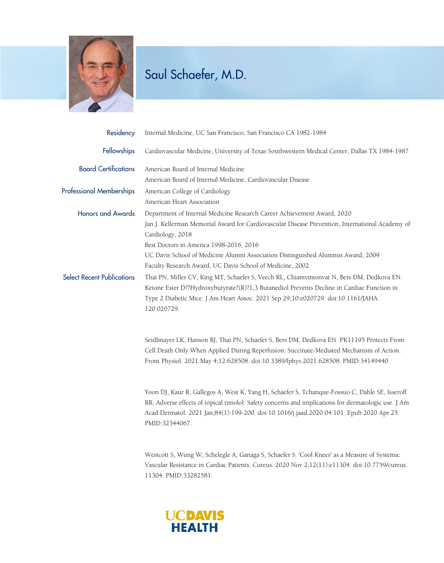

## Saul Schaefer, M.D.

| Residency                         | Internal Medicine, UC San Francisco, San Francisco CA 1982-1984                                                                                                                                                                                                                                                     |
|-----------------------------------|---------------------------------------------------------------------------------------------------------------------------------------------------------------------------------------------------------------------------------------------------------------------------------------------------------------------|
| Fellowships                       | Cardiovascular Medicine, University of Texas Southwestern Medical Center, Dallas TX 1984-1987                                                                                                                                                                                                                       |
| <b>Board Certifications</b>       | American Board of Internal Medicine                                                                                                                                                                                                                                                                                 |
|                                   | American Board of Internal Medicine, Cardiovascular Disease                                                                                                                                                                                                                                                         |
| <b>Professional Memberships</b>   | American College of Cardiology                                                                                                                                                                                                                                                                                      |
|                                   | American Heart Association                                                                                                                                                                                                                                                                                          |
| <b>Honors and Awards</b>          | Department of Internal Medicine Research Career Achievement Award, 2020                                                                                                                                                                                                                                             |
|                                   | Jan J. Kellerman Memorial Award for Cardiovascular Disease Prevention, International Academy of                                                                                                                                                                                                                     |
|                                   | Cardiology, 2018                                                                                                                                                                                                                                                                                                    |
|                                   | Best Doctors in America 1998-2016, 2016                                                                                                                                                                                                                                                                             |
|                                   | UC Davis School of Medicine Alumni Association Distinguished Alumnus Award, 2009                                                                                                                                                                                                                                    |
|                                   | Faculty Research Award, UC Davis School of Medicine, 2002                                                                                                                                                                                                                                                           |
| <b>Select Recent Publications</b> | Thai PN, Miller CV, King MT, Schaefer S, Veech RL, Chiamvimonvat N, Bers DM, Dedkova EN.<br>Ketone Ester D??Hydroxybutyrate?(R)?1,3 Butanediol Prevents Decline in Cardiac Function in<br>Type 2 Diabetic Mice. J Am Heart Assoc. 2021 Sep 29;10:e020729. doi:10.1161/JAHA.<br>120.020729.                          |
|                                   | Seidlmayer LK, Hanson BJ, Thai PN, Schaefer S, Bers DM, Dedkova EN. PK11195 Protects From<br>Cell Death Only When Applied During Reperfusion: Succinate-Mediated Mechanism of Action.<br>Front Physiol. 2021 May 4;12:628508. doi:10.3389/fphys.2021.628508. PMID:34149440.                                         |
|                                   | Yoon DJ, Kaur R, Gallegos A, West K, Yang H, Schaefer S, Tchanque-Fossuo C, Dahle SE, Isseroff<br>RR. Adverse effects of topical timolol: Safety concerns and implications for dermatologic use. J Am<br>Acad Dermatol. 2021 Jan;84(1):199-200. doi:10.1016/j.jaad.2020.04.101. Epub 2020 Apr 25.<br>PMID:32344067. |
|                                   | Westcott S, Wung W, Schelegle A, Ganaga S, Schaefer S. 'Cool Knees' as a Measure of Systemic<br>Vascular Resistance in Cardiac Patients. Cureus. 2020 Nov 2;12(11):e11304. doi:10.7759/cureus.                                                                                                                      |

11304. PMID:33282581.